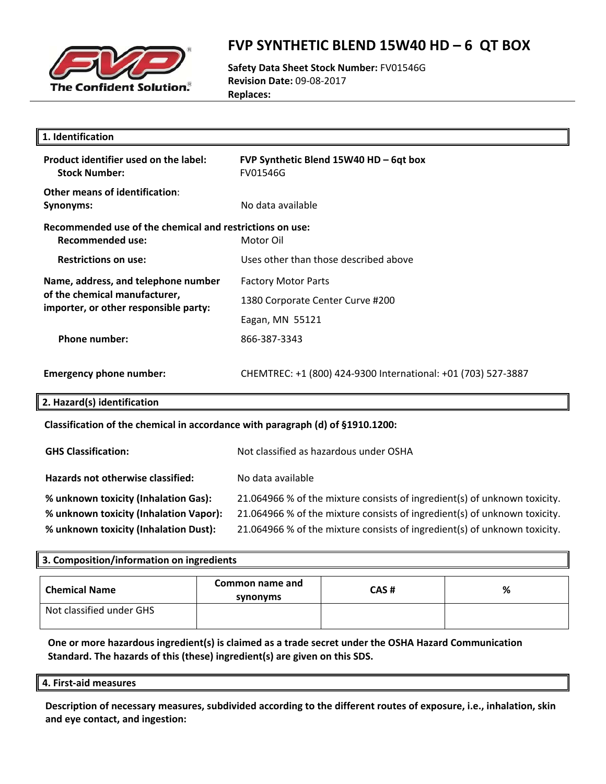

### **FVP SYNTHETIC BLEND 15W40 HD – 6 QT BOX**

**Safety Data Sheet Stock Number:** FV01546G **Revision Date:** 09‐08‐2017 **Replaces:**

| 1. Identification                                                                                             |                                                               |  |
|---------------------------------------------------------------------------------------------------------------|---------------------------------------------------------------|--|
| Product identifier used on the label:<br><b>Stock Number:</b>                                                 | FVP Synthetic Blend 15W40 HD - 6qt box<br>FV01546G            |  |
| <b>Other means of identification:</b><br><b>Synonyms:</b>                                                     | No data available                                             |  |
| Recommended use of the chemical and restrictions on use:<br>Motor Oil<br><b>Recommended use:</b>              |                                                               |  |
| <b>Restrictions on use:</b>                                                                                   | Uses other than those described above                         |  |
| Name, address, and telephone number<br>of the chemical manufacturer,<br>importer, or other responsible party: | <b>Factory Motor Parts</b>                                    |  |
|                                                                                                               | 1380 Corporate Center Curve #200                              |  |
|                                                                                                               | Eagan, MN 55121                                               |  |
| <b>Phone number:</b>                                                                                          | 866-387-3343                                                  |  |
| <b>Emergency phone number:</b>                                                                                | CHEMTREC: +1 (800) 424-9300 International: +01 (703) 527-3887 |  |
| 2. Hazard(s) identification                                                                                   |                                                               |  |
| Classification of the chemical in accordance with paragraph (d) of §1910.1200:                                |                                                               |  |
| <b>GHS Classification:</b>                                                                                    | Not classified as hazardous under OSHA                        |  |
| Hazards not otherwise classified:                                                                             | No data available                                             |  |

**% unknown toxicity (Inhalation Gas):** 21.064966 % of the mixture consists of ingredient(s) of unknown toxicity. **% unknown toxicity (Inhalation Vapor):** 21.064966 % of the mixture consists of ingredient(s) of unknown toxicity. **% unknown toxicity (Inhalation Dust):** 21.064966 % of the mixture consists of ingredient(s) of unknown toxicity.

### **3. Composition/information on ingredients Chemical Name Common name and synonyms CAS # %** Not classified under GHS

**One or more hazardous ingredient(s) is claimed as a trade secret under the OSHA Hazard Communication Standard. The hazards of this (these) ingredient(s) are given on this SDS.**

#### **4. First‐aid measures**

**Description of necessary measures, subdivided according to the different routes of exposure, i.e., inhalation, skin and eye contact, and ingestion:**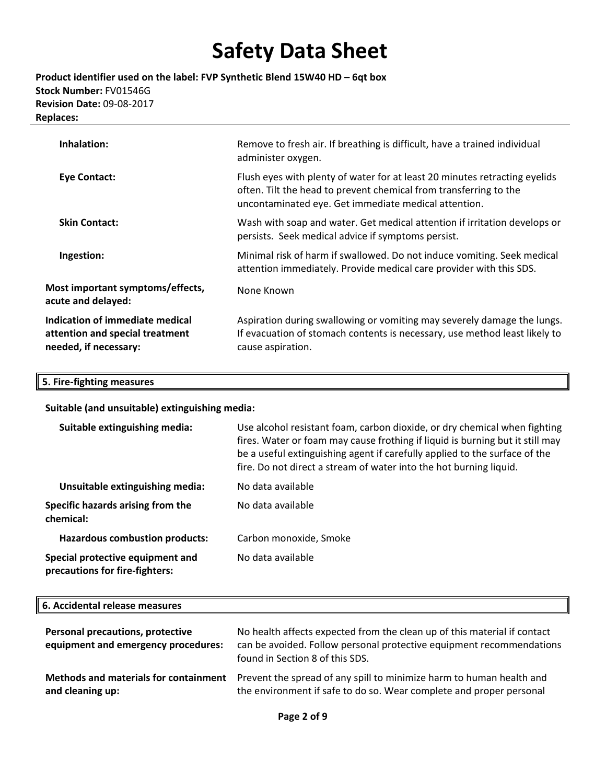**Product identifier used on the label: FVP Synthetic Blend 15W40 HD – 6qt box Stock Number:** FV01546G **Revision Date:** 09‐08‐2017 **Replaces:**

| Remove to fresh air. If breathing is difficult, have a trained individual<br>administer oxygen.                                                                                                         |
|---------------------------------------------------------------------------------------------------------------------------------------------------------------------------------------------------------|
| Flush eyes with plenty of water for at least 20 minutes retracting eyelids<br>often. Tilt the head to prevent chemical from transferring to the<br>uncontaminated eye. Get immediate medical attention. |
| Wash with soap and water. Get medical attention if irritation develops or<br>persists. Seek medical advice if symptoms persist.                                                                         |
| Minimal risk of harm if swallowed. Do not induce vomiting. Seek medical<br>attention immediately. Provide medical care provider with this SDS.                                                          |
| None Known                                                                                                                                                                                              |
| Aspiration during swallowing or vomiting may severely damage the lungs.<br>If evacuation of stomach contents is necessary, use method least likely to<br>cause aspiration.                              |
|                                                                                                                                                                                                         |

#### **5. Fire‐fighting measures**

**Suitable (and unsuitable) extinguishing media:**

| Suitable extinguishing media:                                      | Use alcohol resistant foam, carbon dioxide, or dry chemical when fighting<br>fires. Water or foam may cause frothing if liquid is burning but it still may<br>be a useful extinguishing agent if carefully applied to the surface of the<br>fire. Do not direct a stream of water into the hot burning liquid. |
|--------------------------------------------------------------------|----------------------------------------------------------------------------------------------------------------------------------------------------------------------------------------------------------------------------------------------------------------------------------------------------------------|
| Unsuitable extinguishing media:                                    | No data available                                                                                                                                                                                                                                                                                              |
| Specific hazards arising from the<br>chemical:                     | No data available                                                                                                                                                                                                                                                                                              |
| <b>Hazardous combustion products:</b>                              | Carbon monoxide, Smoke                                                                                                                                                                                                                                                                                         |
| Special protective equipment and<br>precautions for fire-fighters: | No data available                                                                                                                                                                                                                                                                                              |

#### **6. Accidental release measures**

| <b>Personal precautions, protective</b><br>equipment and emergency procedures: | No health affects expected from the clean up of this material if contact<br>can be avoided. Follow personal protective equipment recommendations<br>found in Section 8 of this SDS. |
|--------------------------------------------------------------------------------|-------------------------------------------------------------------------------------------------------------------------------------------------------------------------------------|
| <b>Methods and materials for containment</b>                                   | Prevent the spread of any spill to minimize harm to human health and                                                                                                                |
| and cleaning up:                                                               | the environment if safe to do so. Wear complete and proper personal                                                                                                                 |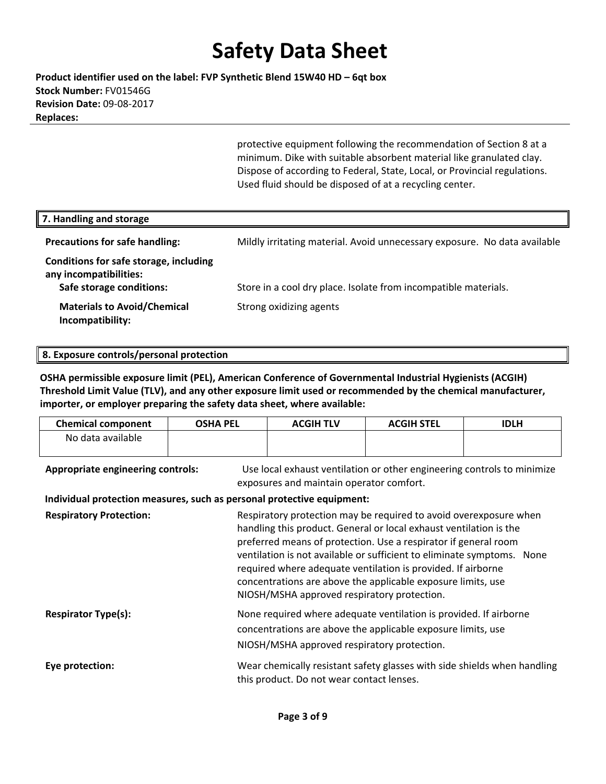**Product identifier used on the label: FVP Synthetic Blend 15W40 HD – 6qt box Stock Number:** FV01546G **Revision Date:** 09‐08‐2017 **Replaces:**

> protective equipment following the recommendation of Section 8 at a minimum. Dike with suitable absorbent material like granulated clay. Dispose of according to Federal, State, Local, or Provincial regulations. Used fluid should be disposed of at a recycling center.

| 7. Handling and storage                                                                      |                                                                           |
|----------------------------------------------------------------------------------------------|---------------------------------------------------------------------------|
| <b>Precautions for safe handling:</b>                                                        | Mildly irritating material. Avoid unnecessary exposure. No data available |
| Conditions for safe storage, including<br>any incompatibilities:<br>Safe storage conditions: | Store in a cool dry place. Isolate from incompatible materials.           |
| <b>Materials to Avoid/Chemical</b><br>Incompatibility:                                       | Strong oxidizing agents                                                   |

#### **8. Exposure controls/personal protection**

**OSHA permissible exposure limit (PEL), American Conference of Governmental Industrial Hygienists (ACGIH) Threshold Limit Value (TLV), and any other exposure limit used or recommended by the chemical manufacturer, importer, or employer preparing the safety data sheet, where available:**

| <b>Chemical component</b>                                              | <b>OSHA PEL</b> | <b>ACGIH TLV</b>                                                                                                    | <b>ACGIH STEL</b>                                                                                                                                                                                                                                                                                                                                                                                                    | <b>IDLH</b> |
|------------------------------------------------------------------------|-----------------|---------------------------------------------------------------------------------------------------------------------|----------------------------------------------------------------------------------------------------------------------------------------------------------------------------------------------------------------------------------------------------------------------------------------------------------------------------------------------------------------------------------------------------------------------|-------------|
| No data available                                                      |                 |                                                                                                                     |                                                                                                                                                                                                                                                                                                                                                                                                                      |             |
| <b>Appropriate engineering controls:</b>                               |                 | Use local exhaust ventilation or other engineering controls to minimize<br>exposures and maintain operator comfort. |                                                                                                                                                                                                                                                                                                                                                                                                                      |             |
| Individual protection measures, such as personal protective equipment: |                 |                                                                                                                     |                                                                                                                                                                                                                                                                                                                                                                                                                      |             |
| <b>Respiratory Protection:</b>                                         |                 | NIOSH/MSHA approved respiratory protection.                                                                         | Respiratory protection may be required to avoid overexposure when<br>handling this product. General or local exhaust ventilation is the<br>preferred means of protection. Use a respirator if general room<br>ventilation is not available or sufficient to eliminate symptoms. None<br>required where adequate ventilation is provided. If airborne<br>concentrations are above the applicable exposure limits, use |             |
| <b>Respirator Type(s):</b>                                             |                 | NIOSH/MSHA approved respiratory protection.                                                                         | None required where adequate ventilation is provided. If airborne<br>concentrations are above the applicable exposure limits, use                                                                                                                                                                                                                                                                                    |             |
| Eye protection:                                                        |                 | this product. Do not wear contact lenses.                                                                           | Wear chemically resistant safety glasses with side shields when handling                                                                                                                                                                                                                                                                                                                                             |             |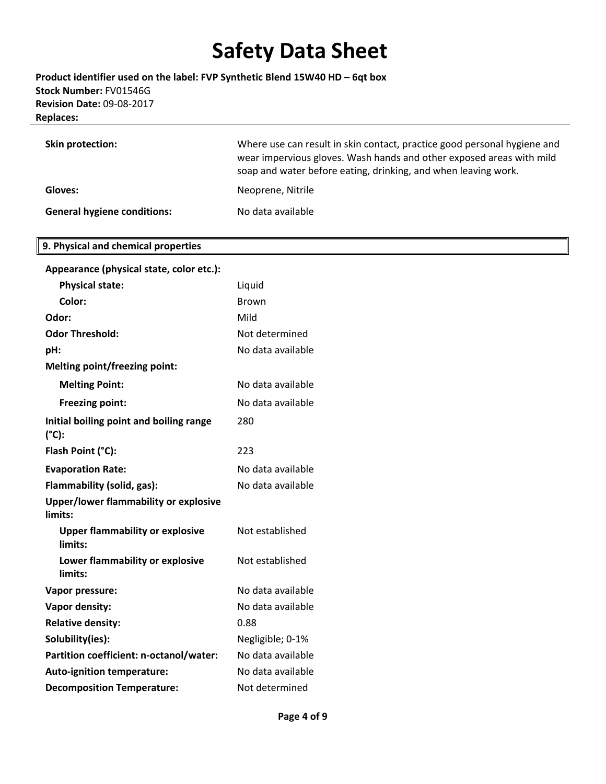**Product identifier used on the label: FVP Synthetic Blend 15W40 HD – 6qt box Stock Number:** FV01546G **Revision Date:** 09‐08‐2017 **Replaces:**

| <b>Skin protection:</b>            | Where use can result in skin contact, practice good personal hygiene and<br>wear impervious gloves. Wash hands and other exposed areas with mild<br>soap and water before eating, drinking, and when leaving work. |
|------------------------------------|--------------------------------------------------------------------------------------------------------------------------------------------------------------------------------------------------------------------|
| Gloves:                            | Neoprene, Nitrile                                                                                                                                                                                                  |
| <b>General hygiene conditions:</b> | No data available                                                                                                                                                                                                  |

#### **9. Physical and chemical properties**

| Appearance (physical state, color etc.):                   |                   |
|------------------------------------------------------------|-------------------|
| <b>Physical state:</b>                                     | Liquid            |
| Color:                                                     | Brown             |
| Odor:                                                      | Mild              |
| <b>Odor Threshold:</b>                                     | Not determined    |
| pH:                                                        | No data available |
| <b>Melting point/freezing point:</b>                       |                   |
| <b>Melting Point:</b>                                      | No data available |
| <b>Freezing point:</b>                                     | No data available |
| Initial boiling point and boiling range<br>$(^{\circ}C)$ : | 280               |
| Flash Point (°C):                                          | 223               |
| <b>Evaporation Rate:</b>                                   | No data available |
| Flammability (solid, gas):                                 | No data available |
| <b>Upper/lower flammability or explosive</b><br>limits:    |                   |
| <b>Upper flammability or explosive</b><br>limits:          | Not established   |
| Lower flammability or explosive<br>limits:                 | Not established   |
| Vapor pressure:                                            | No data available |
| Vapor density:                                             | No data available |
| <b>Relative density:</b>                                   | 0.88              |
| Solubility(ies):                                           | Negligible; 0-1%  |
| Partition coefficient: n-octanol/water:                    | No data available |
| <b>Auto-ignition temperature:</b>                          | No data available |
| <b>Decomposition Temperature:</b>                          | Not determined    |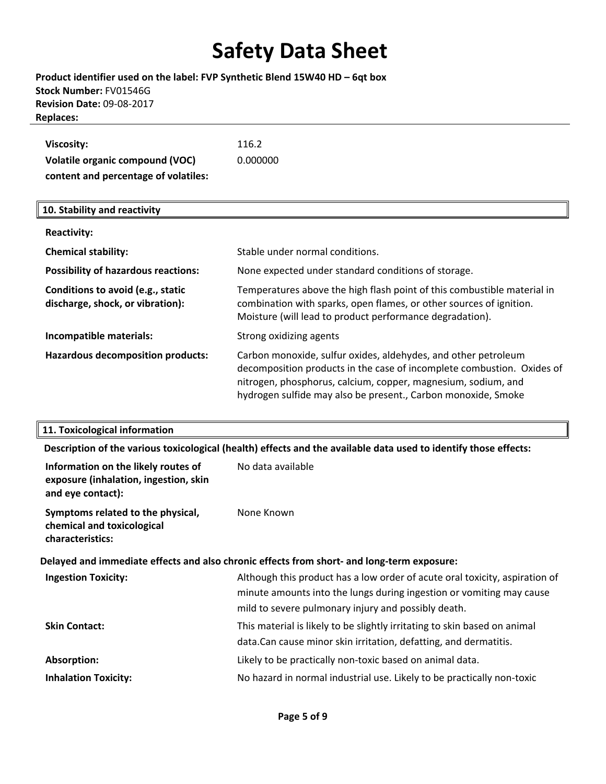### **Product identifier used on the label: FVP Synthetic Blend 15W40 HD – 6qt box Stock Number:** FV01546G **Revision Date:** 09‐08‐2017 **Replaces:**

| Viscosity:                           | 116.2    |
|--------------------------------------|----------|
| Volatile organic compound (VOC)      | 0.000000 |
| content and percentage of volatiles: |          |

#### **10. Stability and reactivity**

| <b>Reactivity:</b>                                                    |                                                                                                                                                                                                                                                                            |
|-----------------------------------------------------------------------|----------------------------------------------------------------------------------------------------------------------------------------------------------------------------------------------------------------------------------------------------------------------------|
| <b>Chemical stability:</b>                                            | Stable under normal conditions.                                                                                                                                                                                                                                            |
| <b>Possibility of hazardous reactions:</b>                            | None expected under standard conditions of storage.                                                                                                                                                                                                                        |
| Conditions to avoid (e.g., static<br>discharge, shock, or vibration): | Temperatures above the high flash point of this combustible material in<br>combination with sparks, open flames, or other sources of ignition.<br>Moisture (will lead to product performance degradation).                                                                 |
| Incompatible materials:                                               | Strong oxidizing agents                                                                                                                                                                                                                                                    |
| <b>Hazardous decomposition products:</b>                              | Carbon monoxide, sulfur oxides, aldehydes, and other petroleum<br>decomposition products in the case of incomplete combustion. Oxides of<br>nitrogen, phosphorus, calcium, copper, magnesium, sodium, and<br>hydrogen sulfide may also be present., Carbon monoxide, Smoke |

### **11. Toxicological information**

**Description of the various toxicological (health) effects and the available data used to identify those effects:**

| Information on the likely routes of<br>exposure (inhalation, ingestion, skin<br>and eye contact): | No data available                                                                                                                                                                                          |  |
|---------------------------------------------------------------------------------------------------|------------------------------------------------------------------------------------------------------------------------------------------------------------------------------------------------------------|--|
| Symptoms related to the physical,<br>chemical and toxicological<br>characteristics:               | None Known                                                                                                                                                                                                 |  |
| Delayed and immediate effects and also chronic effects from short- and long-term exposure:        |                                                                                                                                                                                                            |  |
| <b>Ingestion Toxicity:</b>                                                                        | Although this product has a low order of acute oral toxicity, aspiration of<br>minute amounts into the lungs during ingestion or vomiting may cause<br>mild to severe pulmonary injury and possibly death. |  |
| <b>Skin Contact:</b>                                                                              | This material is likely to be slightly irritating to skin based on animal<br>data.Can cause minor skin irritation, defatting, and dermatitis.                                                              |  |
| Absorption:                                                                                       | Likely to be practically non-toxic based on animal data.                                                                                                                                                   |  |
| <b>Inhalation Toxicity:</b>                                                                       | No hazard in normal industrial use. Likely to be practically non-toxic                                                                                                                                     |  |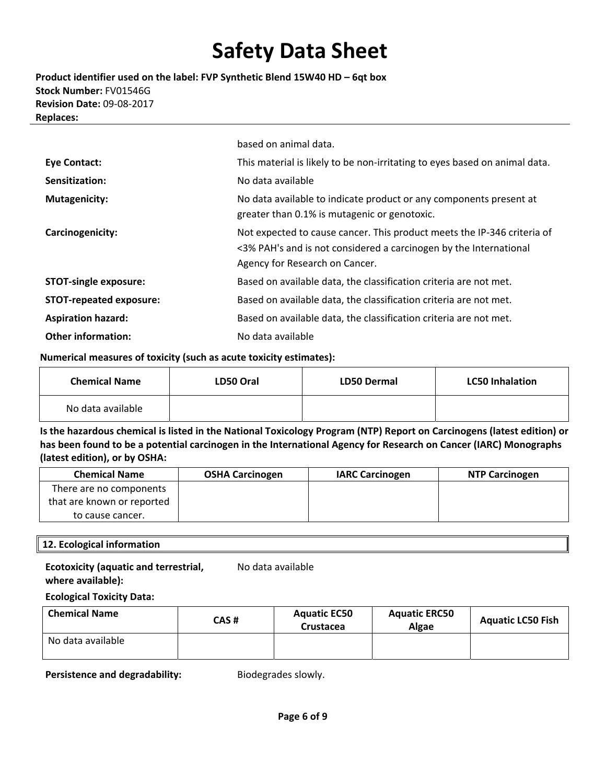**Product identifier used on the label: FVP Synthetic Blend 15W40 HD – 6qt box Stock Number:** FV01546G **Revision Date:** 09‐08‐2017 **Replaces:**

|                                | based on animal data.                                                                                                                                                          |
|--------------------------------|--------------------------------------------------------------------------------------------------------------------------------------------------------------------------------|
| <b>Eye Contact:</b>            | This material is likely to be non-irritating to eyes based on animal data.                                                                                                     |
| Sensitization:                 | No data available                                                                                                                                                              |
| <b>Mutagenicity:</b>           | No data available to indicate product or any components present at<br>greater than 0.1% is mutagenic or genotoxic.                                                             |
| Carcinogenicity:               | Not expected to cause cancer. This product meets the IP-346 criteria of<br><3% PAH's and is not considered a carcinogen by the International<br>Agency for Research on Cancer. |
| <b>STOT-single exposure:</b>   | Based on available data, the classification criteria are not met.                                                                                                              |
| <b>STOT-repeated exposure:</b> | Based on available data, the classification criteria are not met.                                                                                                              |
| <b>Aspiration hazard:</b>      | Based on available data, the classification criteria are not met.                                                                                                              |
| <b>Other information:</b>      | No data available                                                                                                                                                              |

#### **Numerical measures of toxicity (such as acute toxicity estimates):**

| <b>Chemical Name</b> | LD50 Oral | <b>LD50 Dermal</b> | <b>LC50 Inhalation</b> |
|----------------------|-----------|--------------------|------------------------|
| No data available    |           |                    |                        |

Is the hazardous chemical is listed in the National Toxicology Program (NTP) Report on Carcinogens (latest edition) or has been found to be a potential carcinogen in the International Agency for Research on Cancer (IARC) Monographs **(latest edition), or by OSHA:**

| <b>Chemical Name</b>       | <b>OSHA Carcinogen</b> | <b>IARC Carcinogen</b> | <b>NTP Carcinogen</b> |
|----------------------------|------------------------|------------------------|-----------------------|
| There are no components    |                        |                        |                       |
| that are known or reported |                        |                        |                       |
| to cause cancer.           |                        |                        |                       |

#### **12. Ecological information**

#### **Ecotoxicity (aquatic and terrestrial, where available):**

No data available

#### **Ecological Toxicity Data:**

| <b>Chemical Name</b> | CAS # | <b>Aquatic EC50</b><br>Crustacea | <b>Aquatic ERC50</b><br><b>Algae</b> | <b>Aguatic LC50 Fish</b> |
|----------------------|-------|----------------------------------|--------------------------------------|--------------------------|
| No data available    |       |                                  |                                      |                          |

**Persistence and degradability:** Biodegrades slowly.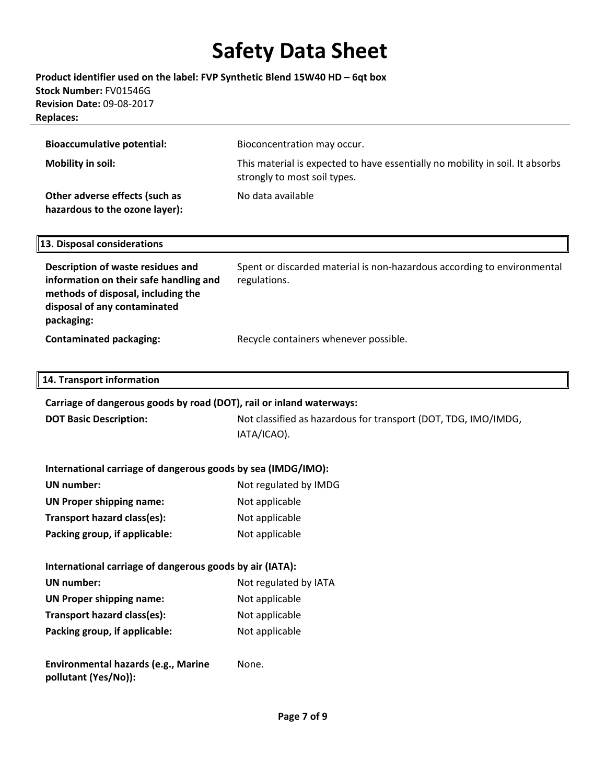### **Product identifier used on the label: FVP Synthetic Blend 15W40 HD – 6qt box Stock Number:** FV01546G **Revision Date:** 09‐08‐2017 **Replaces:**

| <b>Bioaccumulative potential:</b>                                | Bioconcentration may occur.                                                                                   |
|------------------------------------------------------------------|---------------------------------------------------------------------------------------------------------------|
| Mobility in soil:                                                | This material is expected to have essentially no mobility in soil. It absorbs<br>strongly to most soil types. |
| Other adverse effects (such as<br>hazardous to the ozone layer): | No data available                                                                                             |

#### **13. Disposal considerations**

**Description of waste residues and information on their safe handling and methods of disposal, including the disposal of any contaminated packaging:** Spent or discarded material is non‐hazardous according to environmental regulations. **Contaminated packaging:** Recycle containers whenever possible.

#### **14. Transport information**

| Carriage of dangerous goods by road (DOT), rail or inland waterways: |                                                                               |  |  |
|----------------------------------------------------------------------|-------------------------------------------------------------------------------|--|--|
| <b>DOT Basic Description:</b>                                        | Not classified as hazardous for transport (DOT, TDG, IMO/IMDG,<br>IATA/ICAO). |  |  |
|                                                                      |                                                                               |  |  |

#### **International carriage of dangerous goods by sea (IMDG/IMO): UN number:** Not regulated by IMDG

| UN number:                      | NOT regulated by IMDG |
|---------------------------------|-----------------------|
| <b>UN Proper shipping name:</b> | Not applicable        |
| Transport hazard class(es):     | Not applicable        |
| Packing group, if applicable:   | Not applicable        |

### **International carriage of dangerous goods by air (IATA):**

| UN number:                      | Not regulated by IATA |
|---------------------------------|-----------------------|
| <b>UN Proper shipping name:</b> | Not applicable        |
| Transport hazard class(es):     | Not applicable        |
| Packing group, if applicable:   | Not applicable        |

**Environmental hazards (e.g., Marine pollutant (Yes/No)):** None.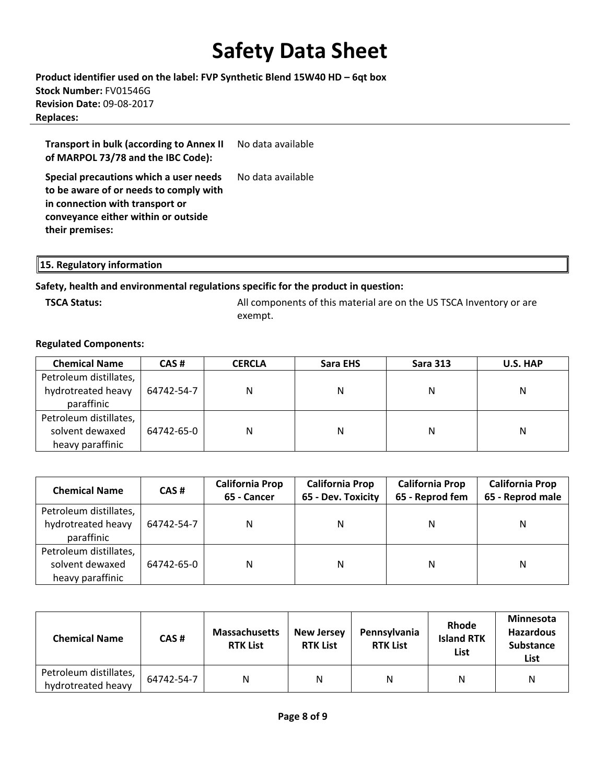**Product identifier used on the label: FVP Synthetic Blend 15W40 HD – 6qt box Stock Number:** FV01546G **Revision Date:** 09‐08‐2017 **Replaces:**

**Transport in bulk (according to Annex II of MARPOL 73/78 and the IBC Code):** No data available

**Special precautions which a user needs to be aware of or needs to comply with in connection with transport or conveyance either within or outside their premises:** No data available

**15. Regulatory information** 

### **Safety, health and environmental regulations specific for the product in question:**

**TSCA Status: All components of this material are on the US TSCA Inventory or are** All components of this material are on the US TSCA Inventory or are exempt.

#### **Regulated Components:**

| <b>Chemical Name</b>   | CAS#       | <b>CERCLA</b> | Sara EHS | <b>Sara 313</b> | U.S. HAP |
|------------------------|------------|---------------|----------|-----------------|----------|
| Petroleum distillates, |            |               |          |                 |          |
| hydrotreated heavy     | 64742-54-7 | N             | N        | N               | Ν        |
| paraffinic             |            |               |          |                 |          |
| Petroleum distillates, |            |               |          |                 |          |
| solvent dewaxed        | 64742-65-0 | N             | N        | N               | Ν        |
| heavy paraffinic       |            |               |          |                 |          |

| <b>Chemical Name</b>                                          | CAS#       | <b>California Prop</b><br>65 - Cancer | <b>California Prop</b><br>65 - Dev. Toxicity | <b>California Prop</b><br>65 - Reprod fem | <b>California Prop</b><br>65 - Reprod male |
|---------------------------------------------------------------|------------|---------------------------------------|----------------------------------------------|-------------------------------------------|--------------------------------------------|
| Petroleum distillates,<br>hydrotreated heavy<br>paraffinic    | 64742-54-7 | N                                     | Ν                                            | N                                         | Ν                                          |
| Petroleum distillates,<br>solvent dewaxed<br>heavy paraffinic | 64742-65-0 | N                                     | N                                            | N                                         | Ν                                          |

| <b>Chemical Name</b>                         | CAS#       | <b>Massachusetts</b><br><b>RTK List</b> | <b>New Jersey</b><br><b>RTK List</b> | Pennsylvania<br><b>RTK List</b> | <b>Rhode</b><br><b>Island RTK</b><br>List | <b>Minnesota</b><br><b>Hazardous</b><br><b>Substance</b><br>List |
|----------------------------------------------|------------|-----------------------------------------|--------------------------------------|---------------------------------|-------------------------------------------|------------------------------------------------------------------|
| Petroleum distillates,<br>hydrotreated heavy | 64742-54-7 | N                                       | N                                    | N                               | Ν                                         | Ν                                                                |